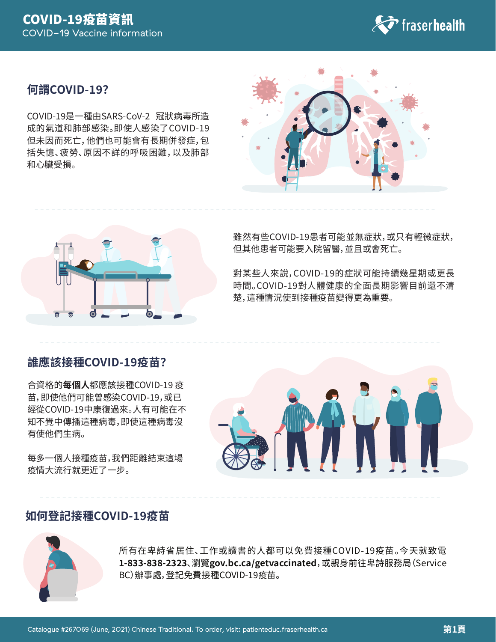

### 何謂COVID-19?

COVID-19是一種由SARS-CoV-2 冠狀病毒所造 成的氣道和肺部感染。即使人感染了COVID-19 但未因而死亡,他們也可能會有長期併發症,包 括失憶、疲勞、原因不詳的呼吸困難,以及肺部 和心臟受損。





雖然有些COVID-19患者可能並無症狀,或只有輕微症狀, 但其他患者可能要入院留醫,並且或會死亡。

對某些人來說,COVID-19的症狀可能持續幾星期或更長 時間。COVID-19對人體健康的全面長期影響目前還不清 楚,這種情況使到接種疫苗變得更為重要。

## 誰應該接種COVID-19疫苗?

合資格的每個人都應該接種COVID-19 疫 苗,即使他們可能曾感染COVID-19,或已 經從COVID-19中康復過來。人有可能在不 知不覺中傳播這種病毒,即使這種病毒沒 有使他們生病。

每多一個人接種疫苗,我們距離結束這場 疫情大流行就更近了一步。



## 如何登記接種COVID-19疫苗



所有在卑詩省居住、工作或讀書的人都可以免費接種COVID-19疫苗。今天就致電 1-833-838-2323、瀏覽gov.bc.ca/getvaccinated, 或親身前往卑詩服務局 (Service BC) 辦事處, 登記免費接種COVID-19疫苗。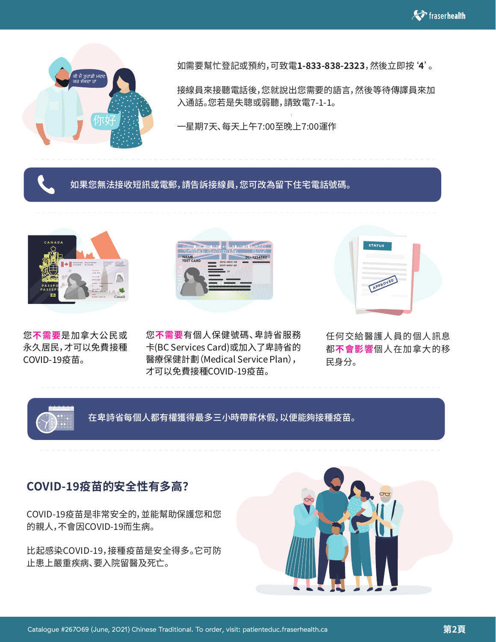

如需要幫忙登記或預約,可致電**�-���-���-����**,然後立即按'**�**'。

接線員來接聽電話後,您就說出您需要的語言,然後等待傳譯員來加 入通話。您若是失聰或弱聽,請致電7-1-1。

一星期7天、每天上午7:00至晚上7:00運作

### 如果您無法接收短訊或電郵,請告訴接線員,您可改為留下住宅電話號碼。



您**不需要**是加拿大公民或 永久居民,才可以免費接種 COVID-��疫苗。



您**不需要**有個人保健號碼、卑詩省服務 卡(BC Services Card)或加入了卑詩省的 醫療保健計劃(Medical Service Plan), 才可以免費接種COVID-19疫苗。



任何交給醫護人員的個人訊息 都**不會影響**個人在加拿大的移 民身分。



在卑詩省每個人都有權獲得最多三小時帶薪休假,以便能夠接種疫苗。

## **COVID-��疫苗的安全性有多高?**

COVID-��疫苗是非常安全的,並能幫助保護您和您 的親人,不會因COVID-19而生病。

比起感染COVID-19,接種疫苗是安全得多。它可防 止患上嚴重疾病、要入院留醫及死亡。

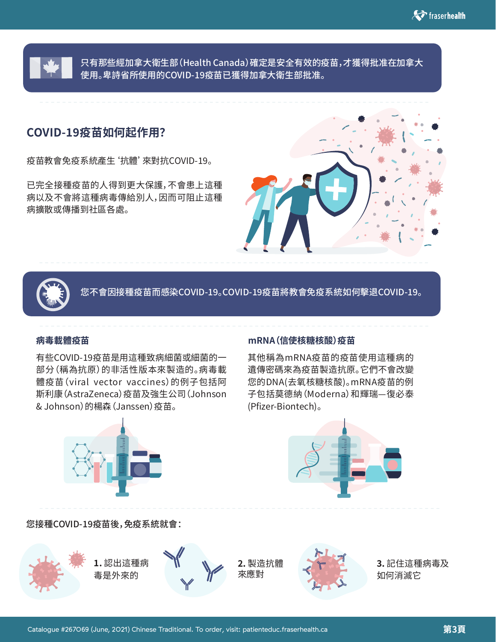

只有那些經加拿大衛生部(Health Canada)確定是安全有效的疫苗,才獲得批准在加拿大 使用。卑詩省所使用的COVID-19疫苗已獲得加拿大衛生部批准。

## **COVID-��疫苗如何起作用?**

疫苗教會免疫系統產生'抗體'來對抗COVID-��。

已完全接種疫苗的人得到更大保護,不會患上這種 病以及不會將這種病毒傳給別人,因而可阻止這種 病擴散或傳播到社區各處。





您不會因接種疫苗而感染COVID-19。COVID-19疫苗將教會免疫系統如何擊退COVID-19。

有些COVID-19疫苗是用這種致病細菌或細菌的一 部分(稱為抗原)的非活性版本來製造的。病毒載 體疫苗(viral vector vaccines)的例子包括阿 斯利康(AstraZeneca)疫苗及強生公司(Johnson & Johnson) 的楊森 (Janssen) 疫苗。



### **病毒載體疫苗 mRNA(信使核糖核酸)疫苗**

其他稱為mRNA疫苗的疫苗使用這種病的 遺傳密碼來為疫苗製造抗原。它們不會改變 您的DNA(去氧核糖核酸)。mRNA疫苗的例 子包括莫德納(Moderna)和輝瑞—復必泰 (Pfizer-Biontech)。



### 您接種COVID-19疫苗後,免疫系統就會:

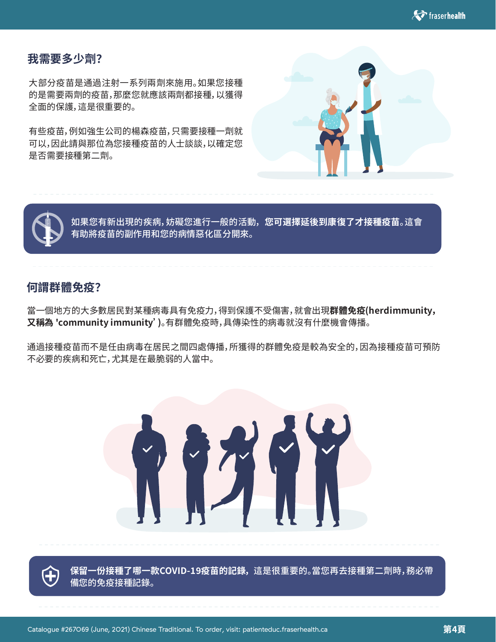

### **我需要多少劑?**

大部分疫苗是通過注射一系列兩劑來施用。如果您接種 的是需要兩劑的疫苗,那麼您就應該兩劑都接種,以獲得 全面的保護,這是很重要的。

有些疫苗,例如強生公司的楊森疫苗,只需要接種一劑就 可以,因此請與那位為您接種疫苗的人士談談,以確定您 是否需要接種第二劑。





如果您有新出現的疾病,妨礙您進行一般的活動,**您可選擇延後到康復了才接種疫苗**。這會 有助將疫苗的副作用和您的病情惡化區分開來。

## **何謂群體免疫?**

當一個地方的大多數居民對某種病毒具有免疫力,得到保護不受傷害,就會出現**群體免疫(herd immunity, 又稱為 'community immunity')**。有群體免疫時,具傳染性的病毒就沒有什麼機會傳播。

通過接種疫苗而不是任由病毒在居民之間四處傳播,所獲得的群體免疫是較為安全的,因為接種疫苗可預防 不必要的疾病和死亡,尤其是在最脆弱的人當中。



保留一份接種了哪一款COVID-19疫苗的記錄,這是很重要的。當您再去接種第二劑時,務必帶 備您的免疫接種記錄。